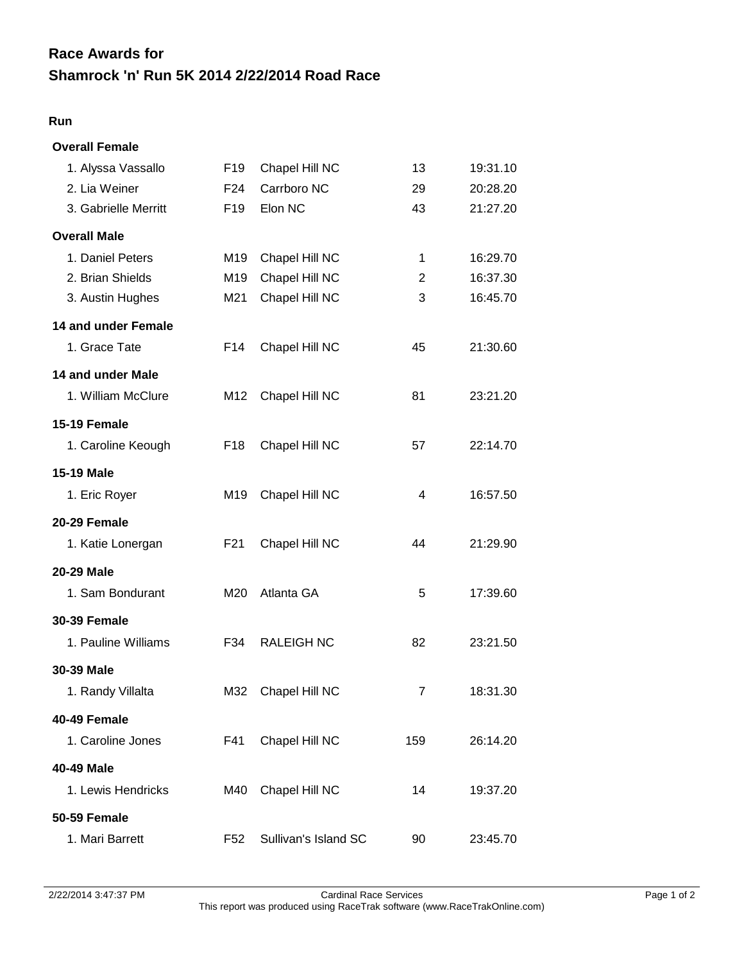## **Shamrock 'n' Run 5K 2014 2/22/2014 Road Race Race Awards for**

## **Run**

| <b>Overall Female</b> |                 |                      |                |          |
|-----------------------|-----------------|----------------------|----------------|----------|
| 1. Alyssa Vassallo    | F <sub>19</sub> | Chapel Hill NC       | 13             | 19:31.10 |
| 2. Lia Weiner         | F <sub>24</sub> | Carrboro NC          | 29             | 20:28.20 |
| 3. Gabrielle Merritt  | F <sub>19</sub> | Elon NC              | 43             | 21:27.20 |
| <b>Overall Male</b>   |                 |                      |                |          |
| 1. Daniel Peters      | M19             | Chapel Hill NC       | 1              | 16:29.70 |
| 2. Brian Shields      | M19             | Chapel Hill NC       | $\overline{2}$ | 16:37.30 |
| 3. Austin Hughes      | M21             | Chapel Hill NC       | 3              | 16:45.70 |
| 14 and under Female   |                 |                      |                |          |
| 1. Grace Tate         | F14             | Chapel Hill NC       | 45             | 21:30.60 |
| 14 and under Male     |                 |                      |                |          |
| 1. William McClure    | M12             | Chapel Hill NC       | 81             | 23:21.20 |
| <b>15-19 Female</b>   |                 |                      |                |          |
| 1. Caroline Keough    | F18             | Chapel Hill NC       | 57             | 22:14.70 |
| <b>15-19 Male</b>     |                 |                      |                |          |
| 1. Eric Royer         | M19             | Chapel Hill NC       | 4              | 16:57.50 |
| 20-29 Female          |                 |                      |                |          |
| 1. Katie Lonergan     | F21             | Chapel Hill NC       | 44             | 21:29.90 |
| 20-29 Male            |                 |                      |                |          |
| 1. Sam Bondurant      | M20             | Atlanta GA           | 5              | 17:39.60 |
| <b>30-39 Female</b>   |                 |                      |                |          |
| 1. Pauline Williams   | F34             | <b>RALEIGH NC</b>    | 82             | 23:21.50 |
| 30-39 Male            |                 |                      |                |          |
| 1. Randy Villalta     | M32             | Chapel Hill NC       | $\overline{7}$ | 18:31.30 |
| 40-49 Female          |                 |                      |                |          |
| 1. Caroline Jones     | F41             | Chapel Hill NC       | 159            | 26:14.20 |
| 40-49 Male            |                 |                      |                |          |
| 1. Lewis Hendricks    | M40             | Chapel Hill NC       | 14             | 19:37.20 |
| <b>50-59 Female</b>   |                 |                      |                |          |
| 1. Mari Barrett       | F <sub>52</sub> | Sullivan's Island SC | 90             | 23:45.70 |